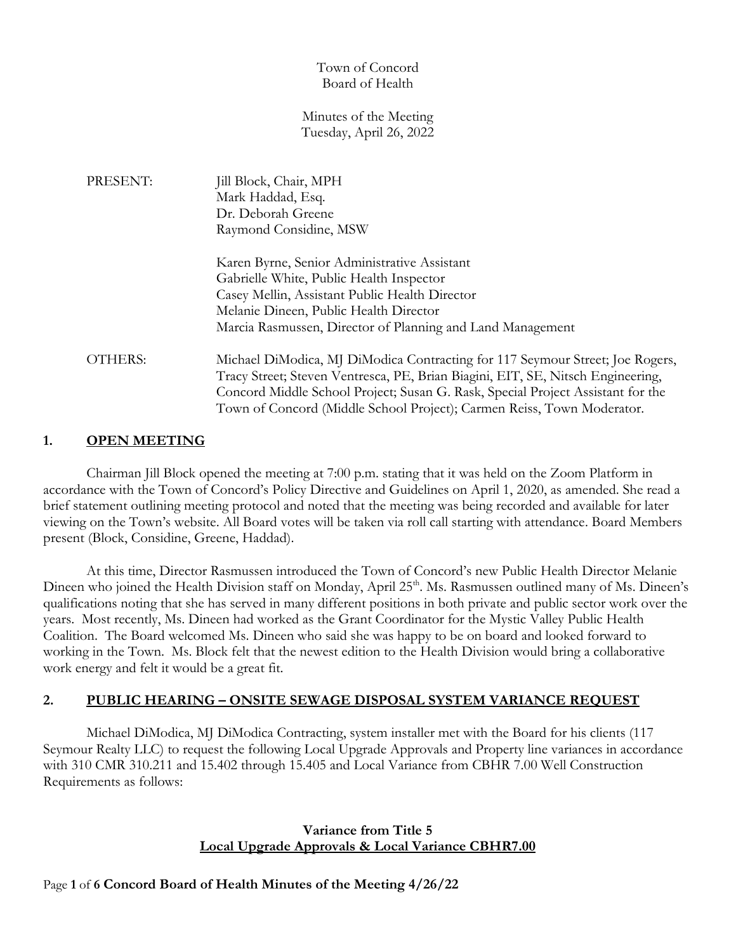### Town of Concord Board of Health

#### Minutes of the Meeting Tuesday, April 26, 2022

| PRESENT:       | Jill Block, Chair, MPH                                                          |
|----------------|---------------------------------------------------------------------------------|
|                | Mark Haddad, Esq.                                                               |
|                | Dr. Deborah Greene                                                              |
|                | Raymond Considine, MSW                                                          |
|                | Karen Byrne, Senior Administrative Assistant                                    |
|                | Gabrielle White, Public Health Inspector                                        |
|                | Casey Mellin, Assistant Public Health Director                                  |
|                | Melanie Dineen, Public Health Director                                          |
|                | Marcia Rasmussen, Director of Planning and Land Management                      |
| <b>OTHERS:</b> | Michael DiModica, MJ DiModica Contracting for 117 Seymour Street; Joe Rogers,   |
|                | Tracy Street; Steven Ventresca, PE, Brian Biagini, EIT, SE, Nitsch Engineering, |
|                | Concord Middle School Project; Susan G. Rask, Special Project Assistant for the |
|                | Town of Concord (Middle School Project); Carmen Reiss, Town Moderator.          |

### **1. OPEN MEETING**

Chairman Jill Block opened the meeting at 7:00 p.m. stating that it was held on the Zoom Platform in accordance with the Town of Concord's Policy Directive and Guidelines on April 1, 2020, as amended. She read a brief statement outlining meeting protocol and noted that the meeting was being recorded and available for later viewing on the Town's website. All Board votes will be taken via roll call starting with attendance. Board Members present (Block, Considine, Greene, Haddad).

At this time, Director Rasmussen introduced the Town of Concord's new Public Health Director Melanie Dineen who joined the Health Division staff on Monday, April 25<sup>th</sup>. Ms. Rasmussen outlined many of Ms. Dineen's qualifications noting that she has served in many different positions in both private and public sector work over the years. Most recently, Ms. Dineen had worked as the Grant Coordinator for the Mystic Valley Public Health Coalition. The Board welcomed Ms. Dineen who said she was happy to be on board and looked forward to working in the Town. Ms. Block felt that the newest edition to the Health Division would bring a collaborative work energy and felt it would be a great fit.

### **2. PUBLIC HEARING – ONSITE SEWAGE DISPOSAL SYSTEM VARIANCE REQUEST**

Michael DiModica, MJ DiModica Contracting, system installer met with the Board for his clients (117 Seymour Realty LLC) to request the following Local Upgrade Approvals and Property line variances in accordance with 310 CMR 310.211 and 15.402 through 15.405 and Local Variance from CBHR 7.00 Well Construction Requirements as follows:

## **Variance from Title 5 Local Upgrade Approvals & Local Variance CBHR7.00**

### Page **1** of **6 Concord Board of Health Minutes of the Meeting 4/26/22**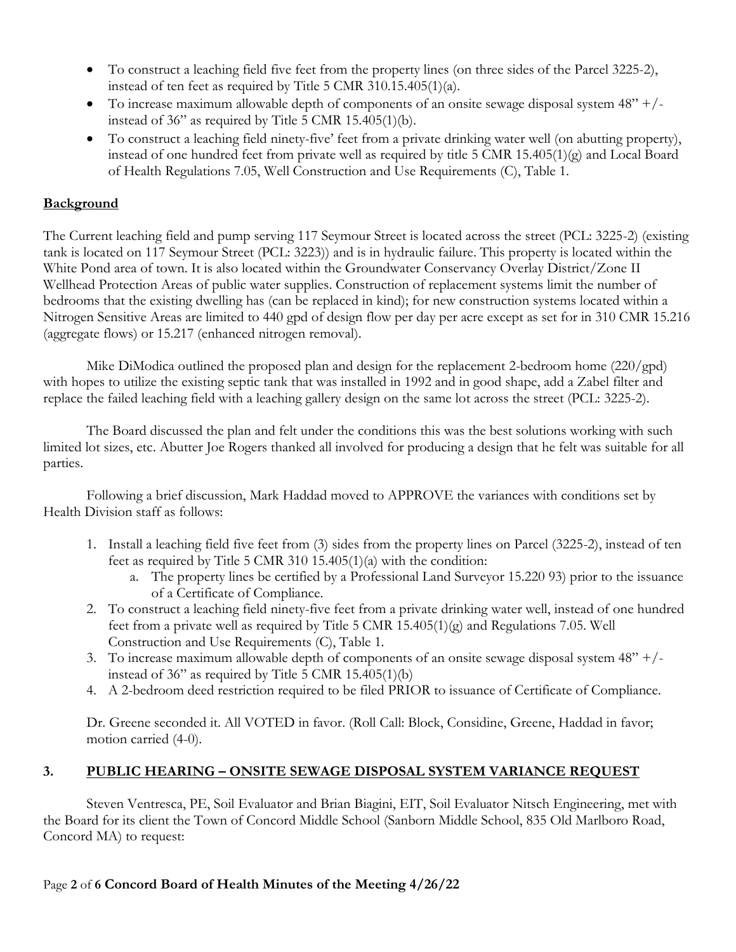- To construct a leaching field five feet from the property lines (on three sides of the Parcel 3225-2), instead of ten feet as required by Title 5 CMR 310.15.405(1)(a).
- To increase maximum allowable depth of components of an onsite sewage disposal system  $48" + /$ instead of 36" as required by Title 5 CMR 15.405(1)(b).
- To construct a leaching field ninety-five' feet from a private drinking water well (on abutting property), instead of one hundred feet from private well as required by title 5 CMR 15.405(1)(g) and Local Board of Health Regulations 7.05, Well Construction and Use Requirements (C), Table 1.

# **Background**

The Current leaching field and pump serving 117 Seymour Street is located across the street (PCL: 3225-2) (existing tank is located on 117 Seymour Street (PCL: 3223)) and is in hydraulic failure. This property is located within the White Pond area of town. It is also located within the Groundwater Conservancy Overlay District/Zone II Wellhead Protection Areas of public water supplies. Construction of replacement systems limit the number of bedrooms that the existing dwelling has (can be replaced in kind); for new construction systems located within a Nitrogen Sensitive Areas are limited to 440 gpd of design flow per day per acre except as set for in 310 CMR 15.216 (aggregate flows) or 15.217 (enhanced nitrogen removal).

Mike DiModica outlined the proposed plan and design for the replacement 2-bedroom home (220/gpd) with hopes to utilize the existing septic tank that was installed in 1992 and in good shape, add a Zabel filter and replace the failed leaching field with a leaching gallery design on the same lot across the street (PCL: 3225-2).

The Board discussed the plan and felt under the conditions this was the best solutions working with such limited lot sizes, etc. Abutter Joe Rogers thanked all involved for producing a design that he felt was suitable for all parties.

Following a brief discussion, Mark Haddad moved to APPROVE the variances with conditions set by Health Division staff as follows:

- 1. Install a leaching field five feet from (3) sides from the property lines on Parcel (3225-2), instead of ten feet as required by Title 5 CMR 310 15.405(1)(a) with the condition:
	- a. The property lines be certified by a Professional Land Surveyor 15.220 93) prior to the issuance of a Certificate of Compliance.
- 2. To construct a leaching field ninety-five feet from a private drinking water well, instead of one hundred feet from a private well as required by Title 5 CMR  $15.405(1)(g)$  and Regulations 7.05. Well Construction and Use Requirements (C), Table 1.
- 3. To increase maximum allowable depth of components of an onsite sewage disposal system  $48"$  +/instead of 36" as required by Title 5 CMR 15.405(1)(b)
- 4. A 2-bedroom deed restriction required to be filed PRIOR to issuance of Certificate of Compliance.

Dr. Greene seconded it. All VOTED in favor. (Roll Call: Block, Considine, Greene, Haddad in favor; motion carried (4-0).

# **3. PUBLIC HEARING – ONSITE SEWAGE DISPOSAL SYSTEM VARIANCE REQUEST**

Steven Ventresca, PE, Soil Evaluator and Brian Biagini, EIT, Soil Evaluator Nitsch Engineering, met with the Board for its client the Town of Concord Middle School (Sanborn Middle School, 835 Old Marlboro Road, Concord MA) to request:

# Page **2** of **6 Concord Board of Health Minutes of the Meeting 4/26/22**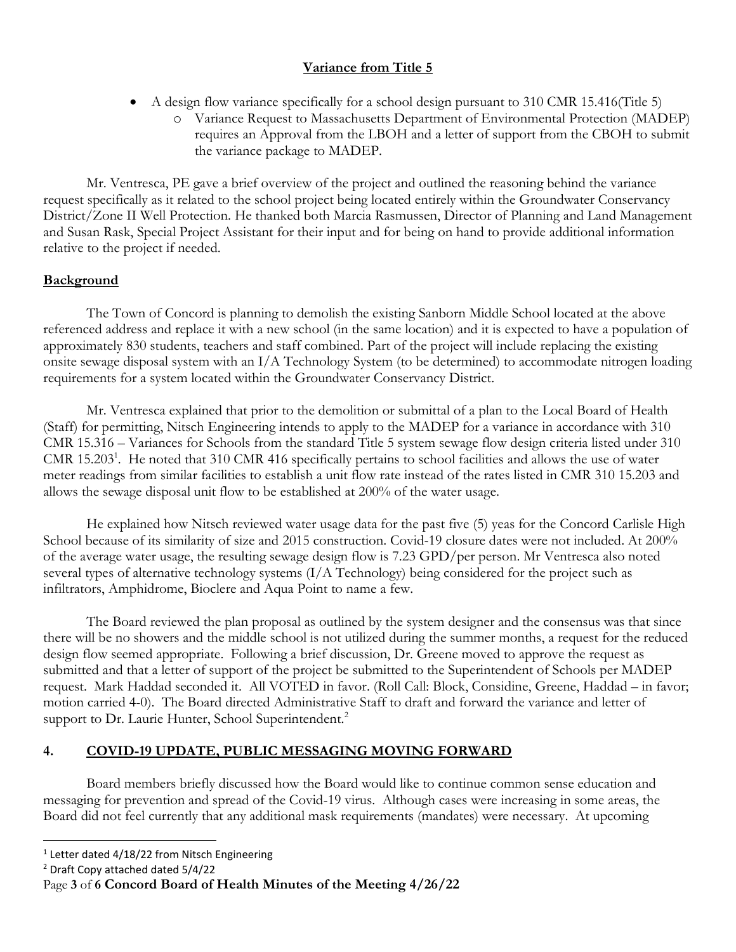# **Variance from Title 5**

- A design flow variance specifically for a school design pursuant to 310 CMR 15.416(Title 5)
	- o Variance Request to Massachusetts Department of Environmental Protection (MADEP) requires an Approval from the LBOH and a letter of support from the CBOH to submit the variance package to MADEP.

Mr. Ventresca, PE gave a brief overview of the project and outlined the reasoning behind the variance request specifically as it related to the school project being located entirely within the Groundwater Conservancy District/Zone II Well Protection. He thanked both Marcia Rasmussen, Director of Planning and Land Management and Susan Rask, Special Project Assistant for their input and for being on hand to provide additional information relative to the project if needed.

## **Background**

The Town of Concord is planning to demolish the existing Sanborn Middle School located at the above referenced address and replace it with a new school (in the same location) and it is expected to have a population of approximately 830 students, teachers and staff combined. Part of the project will include replacing the existing onsite sewage disposal system with an I/A Technology System (to be determined) to accommodate nitrogen loading requirements for a system located within the Groundwater Conservancy District.

Mr. Ventresca explained that prior to the demolition or submittal of a plan to the Local Board of Health (Staff) for permitting, Nitsch Engineering intends to apply to the MADEP for a variance in accordance with 310 CMR 15.316 – Variances for Schools from the standard Title 5 system sewage flow design criteria listed under 310 CMR 15.203<sup>1</sup>. He noted that 310 CMR 416 specifically pertains to school facilities and allows the use of water meter readings from similar facilities to establish a unit flow rate instead of the rates listed in CMR 310 15.203 and allows the sewage disposal unit flow to be established at 200% of the water usage.

He explained how Nitsch reviewed water usage data for the past five (5) yeas for the Concord Carlisle High School because of its similarity of size and 2015 construction. Covid-19 closure dates were not included. At 200% of the average water usage, the resulting sewage design flow is 7.23 GPD/per person. Mr Ventresca also noted several types of alternative technology systems (I/A Technology) being considered for the project such as infiltrators, Amphidrome, Bioclere and Aqua Point to name a few.

The Board reviewed the plan proposal as outlined by the system designer and the consensus was that since there will be no showers and the middle school is not utilized during the summer months, a request for the reduced design flow seemed appropriate. Following a brief discussion, Dr. Greene moved to approve the request as submitted and that a letter of support of the project be submitted to the Superintendent of Schools per MADEP request. Mark Haddad seconded it. All VOTED in favor. (Roll Call: Block, Considine, Greene, Haddad – in favor; motion carried 4-0). The Board directed Administrative Staff to draft and forward the variance and letter of support to Dr. Laurie Hunter, School Superintendent.<sup>2</sup>

# **4. COVID-19 UPDATE, PUBLIC MESSAGING MOVING FORWARD**

Board members briefly discussed how the Board would like to continue common sense education and messaging for prevention and spread of the Covid-19 virus. Although cases were increasing in some areas, the Board did not feel currently that any additional mask requirements (mandates) were necessary. At upcoming

<sup>&</sup>lt;sup>1</sup> Letter dated 4/18/22 from Nitsch Engineering

<sup>2</sup> Draft Copy attached dated 5/4/22

Page **3** of **6 Concord Board of Health Minutes of the Meeting 4/26/22**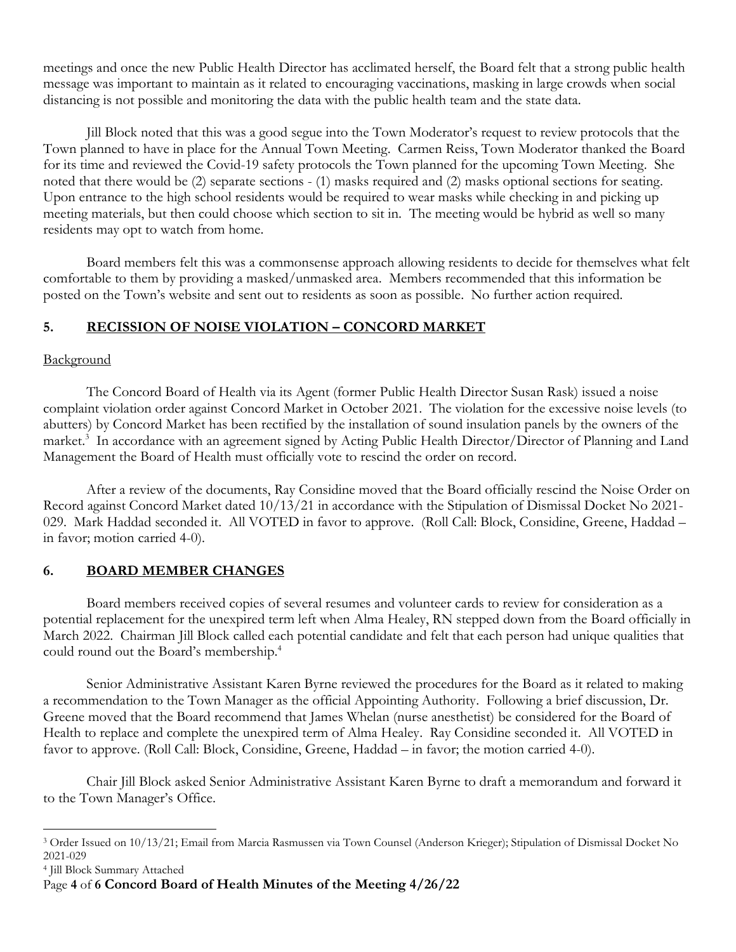meetings and once the new Public Health Director has acclimated herself, the Board felt that a strong public health message was important to maintain as it related to encouraging vaccinations, masking in large crowds when social distancing is not possible and monitoring the data with the public health team and the state data.

Jill Block noted that this was a good segue into the Town Moderator's request to review protocols that the Town planned to have in place for the Annual Town Meeting. Carmen Reiss, Town Moderator thanked the Board for its time and reviewed the Covid-19 safety protocols the Town planned for the upcoming Town Meeting. She noted that there would be (2) separate sections - (1) masks required and (2) masks optional sections for seating. Upon entrance to the high school residents would be required to wear masks while checking in and picking up meeting materials, but then could choose which section to sit in. The meeting would be hybrid as well so many residents may opt to watch from home.

Board members felt this was a commonsense approach allowing residents to decide for themselves what felt comfortable to them by providing a masked/unmasked area. Members recommended that this information be posted on the Town's website and sent out to residents as soon as possible. No further action required.

# **5. RECISSION OF NOISE VIOLATION – CONCORD MARKET**

## **Background**

The Concord Board of Health via its Agent (former Public Health Director Susan Rask) issued a noise complaint violation order against Concord Market in October 2021. The violation for the excessive noise levels (to abutters) by Concord Market has been rectified by the installation of sound insulation panels by the owners of the market. 3 In accordance with an agreement signed by Acting Public Health Director/Director of Planning and Land Management the Board of Health must officially vote to rescind the order on record.

After a review of the documents, Ray Considine moved that the Board officially rescind the Noise Order on Record against Concord Market dated 10/13/21 in accordance with the Stipulation of Dismissal Docket No 2021- 029. Mark Haddad seconded it. All VOTED in favor to approve. (Roll Call: Block, Considine, Greene, Haddad – in favor; motion carried 4-0).

# **6. BOARD MEMBER CHANGES**

Board members received copies of several resumes and volunteer cards to review for consideration as a potential replacement for the unexpired term left when Alma Healey, RN stepped down from the Board officially in March 2022. Chairman Jill Block called each potential candidate and felt that each person had unique qualities that could round out the Board's membership.<sup>4</sup>

Senior Administrative Assistant Karen Byrne reviewed the procedures for the Board as it related to making a recommendation to the Town Manager as the official Appointing Authority. Following a brief discussion, Dr. Greene moved that the Board recommend that James Whelan (nurse anesthetist) be considered for the Board of Health to replace and complete the unexpired term of Alma Healey. Ray Considine seconded it. All VOTED in favor to approve. (Roll Call: Block, Considine, Greene, Haddad – in favor; the motion carried 4-0).

Chair Jill Block asked Senior Administrative Assistant Karen Byrne to draft a memorandum and forward it to the Town Manager's Office.

<sup>3</sup> Order Issued on 10/13/21; Email from Marcia Rasmussen via Town Counsel (Anderson Krieger); Stipulation of Dismissal Docket No 2021-029

<sup>4</sup> Jill Block Summary Attached

Page **4** of **6 Concord Board of Health Minutes of the Meeting 4/26/22**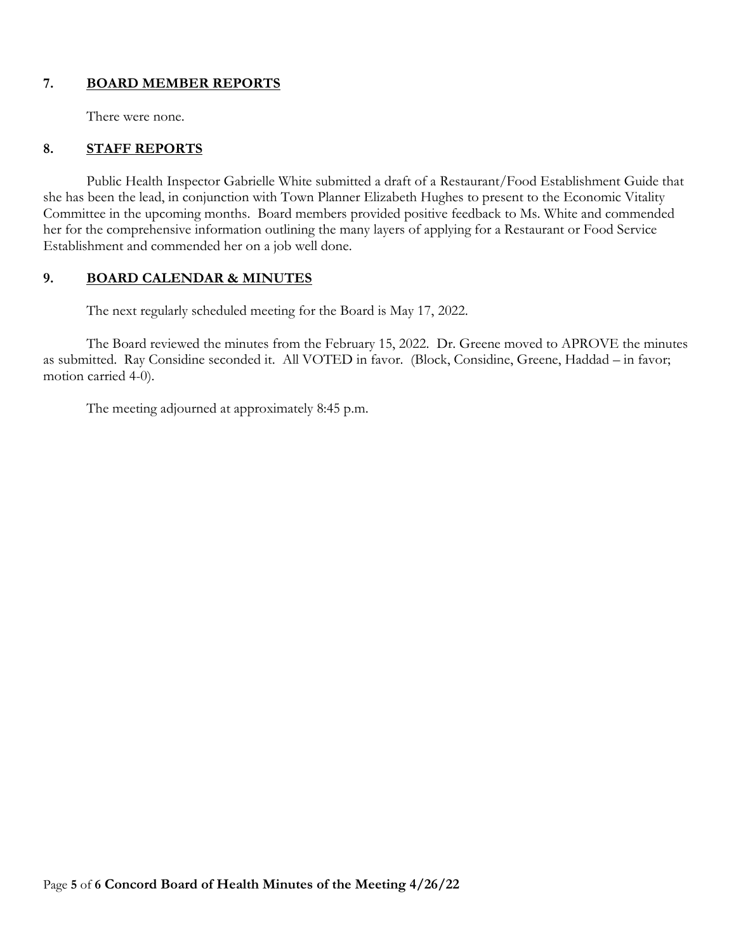## **7. BOARD MEMBER REPORTS**

There were none.

## **8. STAFF REPORTS**

Public Health Inspector Gabrielle White submitted a draft of a Restaurant/Food Establishment Guide that she has been the lead, in conjunction with Town Planner Elizabeth Hughes to present to the Economic Vitality Committee in the upcoming months. Board members provided positive feedback to Ms. White and commended her for the comprehensive information outlining the many layers of applying for a Restaurant or Food Service Establishment and commended her on a job well done.

### **9. BOARD CALENDAR & MINUTES**

The next regularly scheduled meeting for the Board is May 17, 2022.

The Board reviewed the minutes from the February 15, 2022. Dr. Greene moved to APROVE the minutes as submitted. Ray Considine seconded it. All VOTED in favor. (Block, Considine, Greene, Haddad – in favor; motion carried 4-0).

The meeting adjourned at approximately 8:45 p.m.